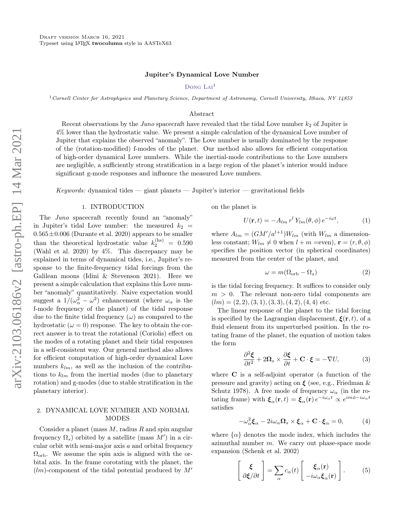### Jupiter's Dynamical Love Number

DONG LAI<sup>1</sup>

<sup>1</sup> Cornell Center for Astrophysics and Planetary Science, Department of Astronomy, Cornell University, Ithaca, NY 14853

### Abstract

Recent observations by the *Juno* spacecraft have revealed that the tidal Love number  $k_2$  of Jupiter is 4% lower than the hydrostatic value. We present a simple calculation of the dynamical Love number of Jupiter that explains the observed "anomaly". The Love number is usually dominated by the response of the (rotation-modified) f-modes of the planet. Our method also allows for efficient computation of high-order dynamical Love numbers. While the inertial-mode contributions to the Love numbers are negligible, a sufficiently strong stratification in a large region of the planet's interior would induce significant g-mode responses and influence the measured Love numbers.

Keywords: dynamical tides — giant planets — Jupiter's interior — gravitational fields

## 1. INTRODUCTION

The *Juno* spacecraft recently found an "anomaly" in Jupiter's tidal Love number: the measured  $k_2 =$  $0.565\pm0.006$  (Durante et al. 2020) appears to be smaller than the theoretical hydrostatic value  $k_2^{(hs)} = 0.590$ (Wahl et al. 2020) by 4%. This discrepancy may be explained in terms of dynamical tides, i.e., Jupiter's response to the finite-frequency tidal forcings from the Galilean moons (Idini & Stevenson 2021). Here we present a simple calculation that explains this Love number "anomaly" quantitatively. Naive expectation would suggest a  $1/(\omega_\alpha^2 - \omega^2)$  enhancement (where  $\omega_\alpha$  is the f-mode frequency of the planet) of the tidal response due to the finite tidal frequency  $(\omega)$  as compared to the hydrostatic  $(\omega = 0)$  response. The key to obtain the correct answer is to treat the rotational (Coriolis) effect on the modes of a rotating planet and their tidal responses in a self-consistent way. Our general method also allows for efficient computation of high-order dynamical Love numbers  $k_{lm}$ , as well as the inclusion of the contributions to  $k_{lm}$  from the inertial modes (due to planetary rotation) and g-modes (due to stable stratification in the planetary interior).

# 2. DYNAMICAL LOVE NUMBER AND NORMAL MODES

Consider a planet (mass  $M$ , radius  $R$  and spin angular frequency  $\Omega_s$ ) orbited by a satellite (mass  $M'$ ) in a circular orbit with semi-major axis  $a$  and orbital frequency  $\Omega_{\rm orb}$ . We assume the spin axis is aligned with the orbital axis. In the frame corotating with the planet, the  $(lm)$ -component of the tidal potential produced by  $M'$ 

on the planet is

$$
U(\mathbf{r},t) = -A_{lm}r^l Y_{lm}(\theta,\phi)e^{-i\omega t},\qquad(1)
$$

where  $A_{lm} = (GM'/a^{l+1})W_{lm}$  (with  $W_{lm}$  a dimensionless constant;  $W_{lm} \neq 0$  when  $l + m =$ even),  $\mathbf{r} = (r, \theta, \phi)$ specifies the position vector (in spherical coordinates) measured from the center of the planet, and

$$
\omega = m(\Omega_{\rm orb} - \Omega_s) \tag{2}
$$

is the tidal forcing frequency. It suffices to consider only  $m > 0$ . The relevant non-zero tidal components are  $(lm) = (2, 2), (3, 1), (3, 3), (4, 2), (4, 4)$  etc.

The linear response of the planet to the tidal forcing is specified by the Lagrangian displacement,  $\xi(\mathbf{r}, t)$ , of a fluid element from its unperturbed position. In the rotating frame of the planet, the equation of motion takes the form

$$
\frac{\partial^2 \boldsymbol{\xi}}{\partial t^2} + 2\boldsymbol{\Omega}_s \times \frac{\partial \boldsymbol{\xi}}{\partial t} + \mathbf{C} \cdot \boldsymbol{\xi} = -\nabla U,\tag{3}
$$

where C is a self-adjoint operator (a function of the pressure and gravity) acting on  $\xi$  (see, e.g., Friedman & Schutz 1978). A free mode of frequency  $\omega_{\alpha}$  (in the rotating frame) with  $\boldsymbol{\xi}_{\alpha}(\mathbf{r},t) = \boldsymbol{\xi}_{\alpha}(\mathbf{r}) e^{-i\omega_{\alpha}t} \propto e^{im\phi - i\omega_{\alpha}t}$ satisfies

$$
-\omega_{\alpha}^{2}\xi_{\alpha} - 2i\omega_{\alpha}\Omega_{s} \times \xi_{\alpha} + \mathbf{C} \cdot \xi_{\alpha} = 0, \qquad (4)
$$

where  $\{\alpha\}$  denotes the mode index, which includes the azimuthal number  $m$ . We carry out phase-space mode expansion (Schenk et al. 2002)

$$
\begin{bmatrix} \boldsymbol{\xi} \\ \partial \boldsymbol{\xi}/\partial t \end{bmatrix} = \sum_{\alpha} c_{\alpha}(t) \begin{bmatrix} \boldsymbol{\xi}_{\alpha}(\mathbf{r}) \\ -i\omega_{\alpha} \boldsymbol{\xi}_{\alpha}(\mathbf{r}) \end{bmatrix} . \tag{5}
$$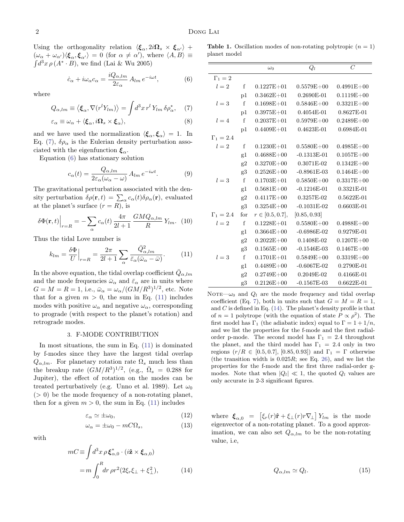Using the orthogonality relation  $\langle \boldsymbol{\xi}_{\alpha}, 2i\boldsymbol{\Omega}_{s} \times \boldsymbol{\xi}_{\alpha'} \rangle$  +  $(\omega_{\alpha} + \omega_{\alpha'})\langle \xi_{\alpha}, \xi_{\alpha'} \rangle = 0$  (for  $\alpha \neq \alpha'$ ), where  $\langle A, B \rangle \equiv$  $\int d^3x \, \rho \left( A^* \cdot B \right)$ , we find (Lai & Wu 2005)

$$
\dot{c}_{\alpha} + i\omega_{\alpha}c_{\alpha} = \frac{iQ_{\alpha,lm}}{2\varepsilon_{\alpha}}A_{lm}e^{-i\omega t},\tag{6}
$$

where

<span id="page-1-0"></span>
$$
Q_{\alpha,lm} \equiv \langle \xi_{\alpha}, \nabla (r^l Y_{lm}) \rangle = \int d^3x \, r^l \, Y_{lm} \, \delta \rho_{\alpha}^*, \tag{7}
$$

$$
\varepsilon_{\alpha} \equiv \omega_{\alpha} + \langle \xi_{\alpha}, i\Omega_{s} \times \xi_{\alpha} \rangle, \tag{8}
$$

and we have used the normalization  $\langle \boldsymbol{\xi}_{\alpha}, \boldsymbol{\xi}_{\alpha} \rangle = 1$ . In Eq. [\(7\)](#page-1-0),  $\delta \rho_{\alpha}$  is the Eulerian density perturbation associated with the eigenfunction  $\xi_{\alpha}$ .

Equation [\(6\)](#page-1-1) has stationary solution

$$
c_{\alpha}(t) = \frac{Q_{\alpha,lm}}{2\varepsilon_{\alpha}(\omega_{\alpha} - \omega)} A_{lm} e^{-i\omega t}.
$$
 (9)

The gravitational perturbation associated with the density perturbation  $\delta \rho(\mathbf{r}, t) = \sum_{\alpha} c_{\alpha}(t) \delta \rho_{\alpha}(\mathbf{r})$ , evaluated at the planet's surface  $(r = R)$ , is

$$
\delta\Phi(\mathbf{r},t)\Big|_{r=R} = -\sum_{\alpha} c_{\alpha}(t) \frac{4\pi}{2l+1} \frac{GMQ_{\alpha,lm}}{R} Y_{lm}.
$$
 (10)

Thus the tidal Love number is

<span id="page-1-2"></span>
$$
k_{lm} = \frac{\delta \Phi}{U}\Big|_{r=R} = \frac{2\pi}{2l+1} \sum_{\alpha} \frac{\bar{Q}^2_{\alpha,lm}}{\bar{\varepsilon}_{\alpha}(\bar{\omega}_{\alpha} - \bar{\omega})}.
$$
 (11)

In the above equation, the tidal overlap coefficient  $\bar{Q}_{\alpha,lm}$ and the mode frequencies  $\bar{\omega}_{\alpha}$  and  $\bar{\varepsilon}_{\alpha}$  are in units where  $G = M = R = 1$ , i.e.,  $\bar{\omega}_{\alpha} = \omega_{\alpha}/(GM/R^3)^{1/2}$ , etc. Note that for a given  $m > 0$ , the sum in Eq. [\(11\)](#page-1-2) includes modes with positive  $\omega_{\alpha}$  and negative  $\omega_{\alpha}$ , corresponding to prograde (with respect to the planet's rotation) and retrograde modes.

#### 3. F-MODE CONTRIBUTION

In most situations, the sum in Eq. [\(11\)](#page-1-2) is dominated by f-modes since they have the largest tidal overlap  $Q_{\alpha,lm}$ . For planetary rotation rate  $\Omega_s$  much less than the breakup rate  $(GM/R^3)^{1/2}$ , (e.g.,  $\overline{\Omega}_s = 0.288$  for Jupiter), the effect of rotation on the modes can be treated perturbatively (e.g. Unno et al. 1989). Let  $\omega_0$  $(0, 0)$  be the mode frequency of a non-rotating planet, then for a given  $m > 0$ , the sum in Eq. [\(11\)](#page-1-2) includes

<span id="page-1-4"></span>
$$
\varepsilon_{\alpha} \simeq \pm \omega_0,\tag{12}
$$

$$
\omega_{\alpha} = \pm \omega_0 - mC\Omega_s,\tag{13}
$$

with

<span id="page-1-3"></span>
$$
mC \equiv \int d^3x \,\rho \,\xi_{\alpha,0}^* \cdot (i\hat{\mathbf{z}} \times \xi_{\alpha,0})
$$

$$
= m \int_0^R dr \,\rho r^2 (2\xi_r \xi_{\perp} + \xi_{\perp}^2), \tag{14}
$$

<span id="page-1-1"></span>**Table 1.** Oscillation modes of non-rotating polytropic  $(n = 1)$ planet model

|                  |                | $\omega_0$          | $Q_l$           | $\overline{C}$ |
|------------------|----------------|---------------------|-----------------|----------------|
| $\Gamma_1=2$     |                |                     |                 |                |
| $l=2$            | f              | $0.1227E + 01$      | $0.5579E + 00$  | $0.4991E + 00$ |
|                  | p1             | $0.3462E + 01$      | 0.2690E-01      | $0.1119E + 00$ |
| $l=3$            | f              | $0.1698E + 01$      | $0.5846E + 00$  | $0.3321E + 00$ |
|                  | p1             | $0.3975E + 01$      | 0.4054E-01      | 0.8627E-01     |
| $l = 4$          | f              | $0.2037E + 01$      | $0.5979E + 00$  | $0.2489E + 00$ |
|                  | p1             | $0.4409E + 01$      | $0.4623E - 01$  | 0.6984E-01     |
| $\Gamma_1 = 2.4$ |                |                     |                 |                |
| $l=2$            | f              | $0.1230E + 01$      | $0.5580E + 00$  | $0.4985E + 00$ |
|                  | g1             | $0.4688E + 00$      | $-0.1313E-01$   | $0.1057E + 00$ |
|                  | g2             | $0.3270E + 00$      | 0.3071E-02      | $0.1342E + 00$ |
|                  | g3             | $0.2526E + 00$      | $-0.8961E-03$   | $0.1464E + 00$ |
| $l=3$            | f              | $0.1703E + 01$      | $0.5850E + 00$  | $0.3317E + 00$ |
|                  | g1             | $0.5681E + 00$      | $-0.1216E-01$   | 0.3321E-01     |
|                  | g2             | $0.4117E + 00$      | $0.3257E-02$    | $0.5622E - 01$ |
|                  | g3             | $0.3254E + 00$      | $-0.1031E-02$   | $0.6603E-01$   |
| $\Gamma_1=2.4$   | for            | $r \in [0.5, 0.7],$ | [0.85, 0.93]    |                |
| $l=2$            | f              | $0.1228E + 01$      | $0.5580E + 00$  | $0.4988E + 00$ |
|                  | g1             | $0.3664E + 00$      | $-0.6986E - 02$ | 0.9279E-01     |
|                  | g2             | $0.2022E + 00$      | 0.1408E-02      | $0.1207E + 00$ |
|                  | g3             | $0.1565E + 00$      | $-0.1546E-03$   | $0.1467E + 00$ |
| $l=3$            | f              | $0.1701E + 01$      | $0.5849E + 00$  | $0.3319E + 00$ |
|                  | g1             | $0.4489E + 00$      | $-0.6067E-02$   | 0.2790E-01     |
|                  | g2             | $0.2749E + 00$      | $0.2049E-02$    | 0.4166E-01     |
|                  | g <sub>3</sub> | $0.2126E + 00$      | $-0.1567E-03$   | $0.6622E - 01$ |

NOTE— $\omega_0$  and  $Q_l$  are the mode frequency and tidal overlap coefficient (Eq. [7\)](#page-1-0), both in units such that  $G = M = R = 1$ , and  $C$  is defined in Eq.  $(14)$ . The planet's density profile is that of  $n = 1$  polytrope (with the equation of state  $P \propto \rho^2$ ). The first model has  $\Gamma_1$  (the adiabatic index) equal to  $\Gamma = 1 + 1/n$ , and we list the properties for the f-mode and the first radialorder p-mode. The second model has  $\Gamma_1 = 2.4$  throughout the planet, and the third model has  $\Gamma_1 = 2.4$  only in two regions  $(r/R \in [0.5, 0.7], [0.85, 0.93])$  and  $\Gamma_1 = \Gamma$  otherwise (the transition width is  $0.025R$ ; see Eq. [26\)](#page-4-0), and we list the properties for the f-mode and the first three radial-order gmodes. Note that when  $|Q_l| \ll 1$ , the quoted  $Q_l$  values are only accurate in 2-3 significant figures.

where  $\xi_{\alpha,0} = [\xi_r(r)\hat{\mathbf{r}} + \xi_{\perp}(r)r\nabla_{\perp}]Y_{lm}$  is the mode eigenvector of a non-rotating planet. To a good approximation, we can also set  $Q_{\alpha,lm}$  to be the non-rotating value, i.e,

$$
Q_{\alpha,lm} \simeq Q_l. \tag{15}
$$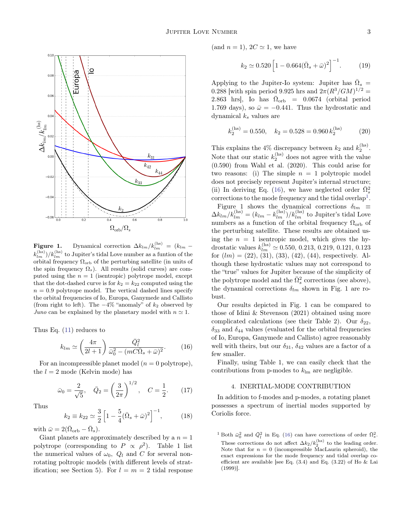

**Figure 1.** Dynamical correction  $\Delta k_{lm}/k_{lm}^{(\text{hs})} = (k_{lm} \langle k_{lm}^{\rm (hs)} \rangle / k_{lm}^{\rm (hs)}$  to Jupiter's tidal Love number as a funtion of the orbital frequency  $\Omega_{\rm orb}$  of the perturbing satellite (in units of the spin frequency  $\Omega_s$ ). All results (solid curves) are computed using the  $n = 1$  (isentropic) polytrope model, except that the dot-dashed curve is for  $k_2 = k_{22}$  computed using the  $n = 0.9$  polytrope model. The vertical dashed lines specify the orbital frequencies of Io, Europa, Ganymede and Callisto (from right to left). The  $-4\%$  "anomaly" of  $k_2$  observed by *Juno* can be explained by the planetary model with  $n \approx 1$ .

Thus Eq. [\(11\)](#page-1-2) reduces to

<span id="page-2-0"></span>
$$
k_{lm} \simeq \left(\frac{4\pi}{2l+1}\right) \frac{\bar{Q}_l^2}{\bar{\omega}_0^2 - (mC\bar{\Omega}_s + \bar{\omega})^2}.
$$
 (16)

For an incompressible planet model  $(n = 0)$  polytrope), the  $l = 2$  mode (Kelvin mode) has

$$
\bar{\omega}_0 = \frac{2}{\sqrt{5}}, \quad \bar{Q}_2 = \left(\frac{3}{2\pi}\right)^{1/2}, \quad C = \frac{1}{2}.
$$
\n(17)

Thus

$$
k_2 \equiv k_{22} \simeq \frac{3}{2} \left[ 1 - \frac{5}{4} (\bar{\Omega}_s + \bar{\omega})^2 \right]^{-1},\tag{18}
$$

with  $\bar{\omega} = 2(\bar{\Omega}_{\text{orb}} - \bar{\Omega}_s).$ 

Giant planets are approximately described by a  $n = 1$ polytrope (corresponding to  $P \propto \rho^2$ ). Table 1 list the numerical values of  $\omega_0$ ,  $Q_l$  and C for several nonrotating poltropic models (with different levels of stratification; see Section 5). For  $l = m = 2$  tidal response

(and  $n = 1$ ),  $2C \simeq 1$ , we have

$$
k_2 \simeq 0.520 \left[ 1 - 0.664 (\bar{\Omega}_s + \bar{\omega})^2 \right]^{-1}.
$$
 (19)

Applying to the Jupiter-Io system: Jupiter has  $\overline{\Omega}_s =$ 0.288 [with spin period 9.925 hrs and  $2\pi (R^3/GM)^{1/2} =$ 2.863 hrs], Io has  $\bar{\Omega}_{\rm orb} = 0.0674$  (orbital period 1.769 days), so  $\bar{\omega} = -0.441$ . Thus the hydrostatic and dynamical  $k_s$  values are

$$
k_2^{\text{(hs)}} = 0.550, \quad k_2 = 0.528 = 0.960 \, k_2^{\text{(hs)}} \tag{20}
$$

This explains the 4% discrepancy between  $k_2$  and  $k_2^{\text{(hs)}}$ . Note that our static  $k_2^{(hs)}$  does not agree with the value (0.590) from Wahl et al. (2020). This could arise for two reasons: (i) The simple  $n = 1$  polytropic model does not precisely represent Jupiter's internal structure; (ii) In deriving Eq. [\(16\)](#page-2-0), we have neglected order  $\bar{\Omega}_s^2$  $corrections to the mode frequency and the tidal overlap<sup>1</sup>.$  $corrections to the mode frequency and the tidal overlap<sup>1</sup>.$  $corrections to the mode frequency and the tidal overlap<sup>1</sup>.$ Figure 1 shows the dynamical corrections  $\delta_{lm} \equiv$  $\Delta k_{lm}/k_{lm}^{(hs)}=(k_{lm}-k_{lm}^{(hs)})/k_{lm}^{(hs)}$  to Jupiter's tidal Love

numbers as a function of the orbital frequency  $\Omega_{\rm orb}$  of the perturbing satellite. These results are obtained using the  $n = 1$  isentropic model, which gives the hydrostatic values  $k_{lm}^{(\rm hs)} \simeq 0.550, 0.213, 0.219, 0.121, 0.123$ for  $(lm) = (22), (31), (33), (42), (44),$  respectively. Although these hydrostatic values may not correspond to the "true" values for Jupiter because of the simplicity of the polytrope model and the  $\bar{\Omega}_s^2$  corrections (see above), the dynamical corrections  $\delta_{lm}$  shown in Fig. 1 are robust.

Our results depicted in Fig. 1 can be compared to those of Idini & Stevenson (2021) obtained using more complicated calculations (see their Table 2). Our  $\delta_{22}$ ,  $\delta_{33}$  and  $\delta_{44}$  values (evaluated for the orbital frequencies of Io, Europa, Ganymede and Callisto) agree reasonably well with theirs, but our  $\delta_{31}$ ,  $\delta_{42}$  values are a factor of a few smaller.

Finally, using Table 1, we can easily check that the contributions from p-modes to  $k_{\text{lm}}$  are negligible.

## 4. INERTIAL-MODE CONTRIBUTION

In addition to f-modes and p-modes, a rotating planet possesses a spectrum of inertial modes supported by Coriolis force.

<span id="page-2-1"></span><sup>1</sup> Both  $\bar{\omega}_0^2$  and  $\bar{Q}_l^2$  in Eq. [\(16\)](#page-2-0) can have corrections of order  $\bar{\Omega}_s^2$ . These corrections do not affect  $\Delta k_2 / k_2^{\text{(hs)}}$  to the leading order. Note that for  $n = 0$  (incompressible MacLaurin spheroid), the exact expressions for the mode frequency and tidal overlap coefficient are available [see Eq. (3.4) and Eq. (3.22) of Ho & Lai (1999)].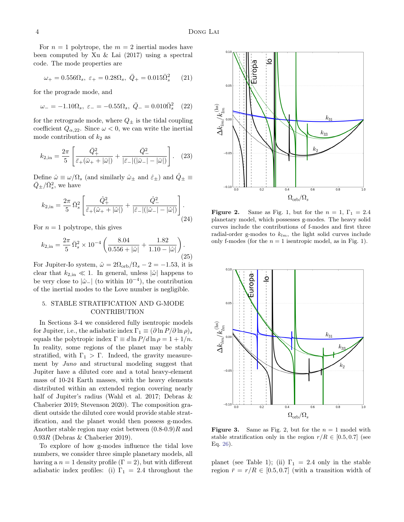For  $n = 1$  polytrope, the  $m = 2$  inertial modes have been computed by Xu & Lai (2017) using a spectral code. The mode properties are

$$
\omega_+ = 0.556 \Omega_s, \ \varepsilon_+ = 0.28 \Omega_s, \ \bar{Q}_+ = 0.015 \bar{\Omega}_s^2 \qquad (21)
$$

for the prograde mode, and

$$
\omega_- = -1.10 \Omega_s, \ \varepsilon_- = -0.55 \Omega_s, \ \bar{Q}_- = 0.010 \bar{\Omega}_s^2 \quad (22)
$$

for the retrograde mode, where  $Q_{\pm}$  is the tidal coupling coefficient  $Q_{\alpha,22}$ . Since  $\omega < 0$ , we can write the inertial mode contribution of  $k_2$  as

$$
k_{2, \text{in}} = \frac{2\pi}{5} \left[ \frac{\bar{Q}_{+}^{2}}{\bar{\varepsilon}_{+}(\bar{\omega}_{+} + |\bar{\omega}|)} + \frac{\bar{Q}_{-}^{2}}{|\bar{\varepsilon}_{-}|(|\bar{\omega}_{-}| - |\bar{\omega}|)} \right]. \quad (23)
$$

Define  $\hat{\omega} \equiv \omega / \Omega_s$  (and similarly  $\hat{\omega}_{\pm}$  and  $\hat{\epsilon}_{\pm}$ ) and  $\hat{Q}_{\pm} \equiv$  $\bar{Q}_{\pm}/\bar{\Omega}_s^2$ , we have

$$
k_{2, \text{in}} = \frac{2\pi}{5} \,\bar{\Omega}_s^2 \left[ \frac{\hat{Q}_+^2}{\hat{\varepsilon}_+(\hat{\omega}_+ + |\hat{\omega}|)} + \frac{\hat{Q}_-^2}{|\hat{\varepsilon}_-|(|\hat{\omega}_-| - |\hat{\omega}|)} \right].
$$
\n(24)

For  $n = 1$  polytrope, this gives

$$
k_{2, \text{in}} = \frac{2\pi}{5} \,\bar{\Omega}_s^2 \times 10^{-4} \left( \frac{8.04}{0.556 + |\hat{\omega}|} + \frac{1.82}{1.10 - |\hat{\omega}|} \right). \tag{25}
$$

For Jupiter-Io system,  $\hat{\omega} = 2\Omega_{\rm orb}/\Omega_s - 2 = -1.53$ , it is clear that  $k_{2,\text{in}} \ll 1$ . In general, unless  $|\hat{\omega}|$  happens to be very close to  $|\hat{\omega}$ <sub>−</sub> | (to within 10<sup>-4</sup>), the contribution of the inertial modes to the Love number is negligible.

# 5. STABLE STRATIFICATION AND G-MODE **CONTRIBUTION**

In Sections 3-4 we considered fully isentropic models for Jupiter, i.e., the adiabatic index  $\Gamma_1 \equiv (\partial \ln P / \partial \ln \rho)_s$ equals the polytropic index  $\Gamma \equiv d \ln P / d \ln \rho = 1 + 1/n$ . In reality, some regions of the planet may be stably stratified, with  $\Gamma_1 > \Gamma$ . Indeed, the gravity measurement by Juno and structural modeling suggest that Jupiter have a diluted core and a total heavy-element mass of 10-24 Earth masses, with the heavy elements distributed within an extended region covering nearly half of Jupiter's radius (Wahl et al. 2017; Debras & Chaberier 2019; Stevenson 2020). The composition gradient outside the diluted core would provide stable stratification, and the planet would then possess g-modes. Another stable region may exist between  $(0.8-0.9)R$  and 0.93R (Debras & Chaberier 2019).

To explore of how g-modes influence the tidal love numbers, we consider three simple planetary models, all having a  $n = 1$  density profile  $(\Gamma = 2)$ , but with different adiabatic index profiles: (i)  $\Gamma_1 = 2.4$  throughout the



**Figure 2.** Same as Fig. 1, but for the  $n = 1$ ,  $\Gamma_1 = 2.4$ planetary model, which possesses g-modes. The heavy solid curves include the contributions of f-modes and first three radial-order g-modes to  $k_{lm}$ , the light solid curves include only f-modes (for the  $n = 1$  isentropic model, as in Fig. 1).



**Figure 3.** Same as Fig. 2, but for the  $n = 1$  model with stable stratification only in the region  $r/R \in [0.5, 0.7]$  (see Eq. [26\)](#page-4-0).

planet (see Table 1); (ii)  $\Gamma_1 = 2.4$  only in the stable region  $\bar{r} = r/R \in [0.5, 0.7]$  (with a transition width of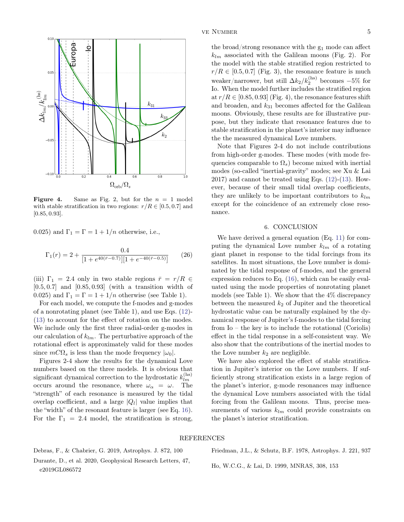

**Figure 4.** Same as Fig. 2, but for the  $n = 1$  model with stable stratification in two regions:  $r/R \in [0.5, 0.7]$  and [0.85, 0.93].

0.025) and  $\Gamma_1 = \Gamma = 1 + 1/n$  otherwise, i.e.,

$$
\Gamma_1(r) = 2 + \frac{0.4}{[1 + e^{40(\bar{r} - 0.7)}][1 + e^{-40(\bar{r} - 0.5)}]}
$$
(26)

(iii)  $\Gamma_1 = 2.4$  only in two stable regions  $\bar{r} = r/R \in$  $[0.5, 0.7]$  and  $[0.85, 0.93]$  (with a transition width of 0.025) and  $\Gamma_1 = \Gamma = 1 + 1/n$  otherwise (see Table 1).

For each model, we compute the f-modes and g-modes of a nonrotating planet (see Table 1), and use Eqs. [\(12\)](#page-1-4)- [\(13\)](#page-1-4) to account for the effect of rotation on the modes. We include only the first three radial-order g-modes in our calculation of  $k_{lm}$ . The perturbative approach of the rotational effect is approximately valid for these modes since  $mC\Omega_s$  is less than the mode frequency  $|\omega_0|$ .

Figures 2-4 show the results for the dynamical Love numbers based on the three models. It is obvious that significant dynamical correction to the hydrostatic  $k_{lm}^{(\rm hs)}$ lm occurs around the resonance, where  $\omega_{\alpha} = \omega$ . The "strength" of each resonance is measured by the tidal overlap coefficient, and a large  $|Q_l|$  value implies that the "width" of the resonant feature is larger (see Eq. [16\)](#page-2-0). For the  $\Gamma_1 = 2.4$  model, the stratification is strong,

# $VE$  NUMBER  $5$

the broad/strong resonance with the  $g_1$  mode can affect  $k_{lm}$  associated with the Galilean moons (Fig. 2). For the model with the stable stratified region restricted to  $r/R \in [0.5, 0.7]$  (Fig. 3), the resonance feature is much weaker/narrower, but still  $\Delta k_2 / k_2^{\text{(hs)}}$  becomes  $-5\%$  for Io. When the model further includes the stratified region at  $r/R \in [0.85, 0.93]$  (Fig. 4), the resonance features shift and broaden, and  $k_{31}$  becomes affected for the Galilean moons. Obviously, these results are for illustrative purpose, but they indicate that resonance features due to stable stratification in the planet's interior may influence the the measured dynamical Love numbers.

Note that Figures 2-4 do not include contributions from high-order g-modes. These modes (with mode frequencies comparable to  $\Omega_s$ ) become mixed with inertial modes (so-called "inertial-gravity" modes; see Xu & Lai  $2017$ ) and cannot be treated using Eqs.  $(12)-(13)$  $(12)-(13)$  $(12)-(13)$ . However, because of their small tidal overlap coefficients, they are unlikely to be important contributors to  $k_{lm}$ except for the coincidence of an extremely close resonance.

## 6. CONCLUSION

<span id="page-4-0"></span>We have derived a general equation (Eq. [11\)](#page-1-2) for computing the dynamical Love number  $k_{lm}$  of a rotating giant planet in response to the tidal forcings from its satellites. In most situations, the Love number is dominated by the tidal response of f-modes, and the general expression reduces to Eq. [\(16\)](#page-2-0), which can be easily evaluated using the mode properties of nonrotating planet models (see Table 1). We show that the 4% discrepancy between the measured  $k_2$  of Jupiter and the theoretical hydrostatic value can be naturally explained by the dynamical response of Jupiter's f-modes to the tidal forcing from Io – the key is to include the rotational (Coriolis) effect in the tidal response in a self-consistent way. We also show that the contributions of the inertial modes to the Love number  $k_2$  are negligible.

We have also explored the effect of stable stratification in Jupiter's interior on the Love numbers. If sufficiently strong stratification exists in a large region of the planet's interior, g-mode resonances may influence the dynamical Love numbers associated with the tidal forcing from the Galilean moons. Thus, precise measurements of various  $k_{lm}$  could provide constraints on the planet's interior stratification.

## REFERENCES

Debras, F., & Chabrier, G. 2019, Astrophys. J. 872, 100

Durante, D., et al. 2020, Geophysical Research Letters, 47, e2019GL086572

Friedman, J.L., & Schutz, B.F. 1978, Astrophys. J. 221, 937

Ho, W.C.G., & Lai, D. 1999, MNRAS, 308, 153